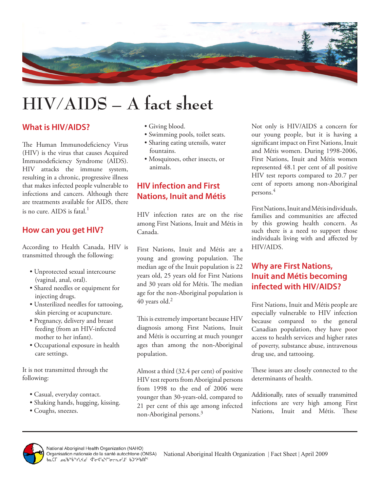

# **HIV/AIDS – A fact sheet**

#### **What is HIV/AIDS?**

The Human Immunodeficiency Virus (HIV) is the virus that causes Acquired Immunodeficiency Syndrome (AIDS). HIV attacks the immune system, resulting in a chronic, progressive illness that makes infected people vulnerable to infections and cancers. Although there are treatments available for AIDS, there is no cure. AIDS is fatal. $^{\rm l}$ 

#### **How can you get HIV?**

According to Health Canada, HIV is transmitted through the following:

- Unprotected sexual intercourse (vaginal, anal, oral).
- Shared needles or equipment for injecting drugs.
- Unsterilized needles for tattooing, skin piercing or acupuncture.
- Pregnancy, delivery and breast feeding (from an HIV-infected mother to her infant).
- Occupational exposure in health care settings.

It is not transmitted through the following:

- Casual, everyday contact.
- Shaking hands, hugging, kissing.
- Coughs, sneezes.
- Giving blood.
- Swimming pools, toilet seats.
- Sharing eating utensils, water fountains.
- Mosquitoes, other insects, or animals.

# **HIV infection and First Nations, Inuit and Métis**

HIV infection rates are on the rise among First Nations, Inuit and Métis in Canada.

First Nations, Inuit and Métis are a young and growing population. The median age of the Inuit population is 22 years old, 25 years old for First Nations and 30 years old for Métis. The median age for the non-Aboriginal population is  $40$  years old.<sup>2</sup>

This is extremely important because HIV diagnosis among First Nations, Inuit and Métis is occurring at much younger ages than among the non-Aboriginal population.

Almost a third (32.4 per cent) of positive HIV test reports from Aboriginal persons from 1998 to the end of 2006 were younger than 30-years-old, compared to 21 per cent of this age among infected non-Aboriginal persons.3

Not only is HIV/AIDS a concern for our young people, but it is having a significant impact on First Nations, Inuit and Métis women. During 1998-2006, First Nations, Inuit and Métis women represented 48.1 per cent of all positive HIV test reports compared to 20.7 per cent of reports among non-Aboriginal persons.<sup>4</sup>

First Nations, Inuit and Métis individuals, families and communities are affected by this growing health concern. As such there is a need to support those individuals living with and affected by HIV/AIDS.

## **Why are First Nations, Inuit and Métis becoming infected with HIV/AIDS?**

First Nations, Inuit and Métis people are especially vulnerable to HIV infection because compared to the general Canadian population, they have poor access to health services and higher rates of poverty, substance abuse, intravenous drug use, and tattooing.

These issues are closely connected to the determinants of health.

Additionally, rates of sexually transmitted infections are very high among First Nations, Inuit and Métis. These



National Aboriginal Health Organization | Fact Sheet | April 2009